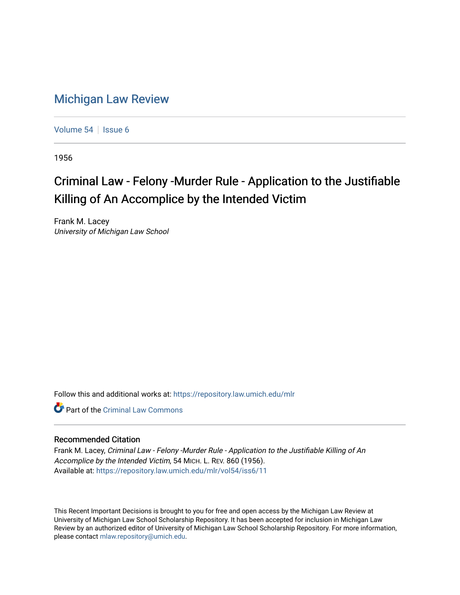## [Michigan Law Review](https://repository.law.umich.edu/mlr)

[Volume 54](https://repository.law.umich.edu/mlr/vol54) | [Issue 6](https://repository.law.umich.edu/mlr/vol54/iss6)

1956

## Criminal Law - Felony -Murder Rule - Application to the Justifiable Killing of An Accomplice by the Intended Victim

Frank M. Lacey University of Michigan Law School

Follow this and additional works at: [https://repository.law.umich.edu/mlr](https://repository.law.umich.edu/mlr?utm_source=repository.law.umich.edu%2Fmlr%2Fvol54%2Fiss6%2F11&utm_medium=PDF&utm_campaign=PDFCoverPages) 

**C** Part of the Criminal Law Commons

## Recommended Citation

Frank M. Lacey, Criminal Law - Felony -Murder Rule - Application to the Justifiable Killing of An Accomplice by the Intended Victim, 54 MICH. L. REV. 860 (1956). Available at: [https://repository.law.umich.edu/mlr/vol54/iss6/11](https://repository.law.umich.edu/mlr/vol54/iss6/11?utm_source=repository.law.umich.edu%2Fmlr%2Fvol54%2Fiss6%2F11&utm_medium=PDF&utm_campaign=PDFCoverPages) 

This Recent Important Decisions is brought to you for free and open access by the Michigan Law Review at University of Michigan Law School Scholarship Repository. It has been accepted for inclusion in Michigan Law Review by an authorized editor of University of Michigan Law School Scholarship Repository. For more information, please contact [mlaw.repository@umich.edu.](mailto:mlaw.repository@umich.edu)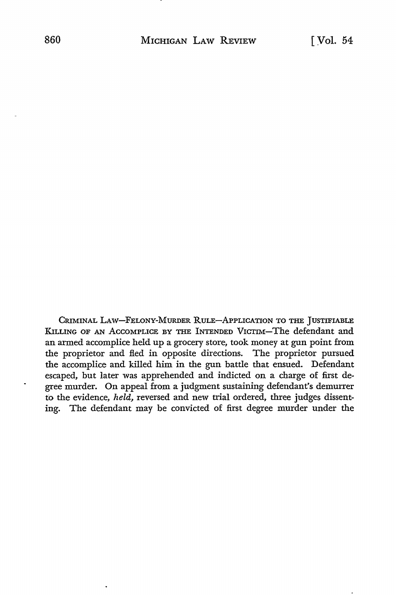CRIMINAL LAW-FELONY-MURDER RULE-APPLICATION TO THE JUSTIFIABLE KILLING OF AN AccoMPLICE BY THE INTENDED VICTIM-The defendant and an armed accomplice held up a grocery store, took money at gun point from the proprietor and fled in opposite directions. The proprietor pursued the accomplice and killed him in the gun battle that ensued. Defendant escaped, but later was apprehended and indicted on a charge of first degree murder. On appeal from a judgment sustaining defendant's demurrer to the evidence, *held,* reversed and new trial ordered, three judges dissenting. The defendant may be convicted of first degree murder under the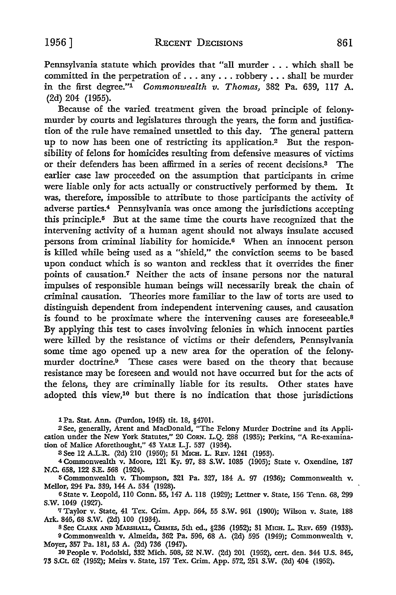Pennsylvania statute which provides that "all murder ... which shall be committed in the perpetration of ... any ... robbery ... shall be murder in the first degree."1 *Commonwealth v. Thomas,* 382 Pa. 639, 117 A. (2d) 204 (1955).

Because of the varied treatment given the broad principle of felonymurder by courts and legislatures through the years, the form and justification of the rule have remained unsettled to this day. The general pattern up to now has been one of restricting its application.2 But the responsibility of felons for homicides resulting from defensive measures of victims or their defenders has been affirmed in a series of recent decisions.3 The earlier case law proceeded on the assumption that participants in crime were liable only for acts actually or constructively performed by them. It was, therefore, impossible to attribute to those participants the activity of adverse parties.4 Pennsylvania was once among the jurisdictions accepting this principle.5 But at the same time the courts have recognized that the intervening activity of a human agent should not always insulate accused persons from criminal liability for homicide.6 When an innocent person is killed while being used as a "shield," the conviction seems to be based upon conduct which is so wanton and reckless that it overrides the finer points of causation.7 Neither the acts of insane persons nor the natural impulses of responsible human beings will necessarily break the chain of criminal causation. Theories more familiar to the law of torts are used to distinguish dependent from independent intervening causes, and causation is found to be proximate where the intervening causes are foreseeable.<sup>8</sup> By applying this test to cases involving felonies in which innocent parties were killed by the resistance of victims or their defenders, Pennsylvania some time ago opened up a new area for the operation of the felonymurder doctrine.<sup>9</sup> These cases were based on the theory that because resistance may be foreseen and would not have occurred but for the acts of the felons, they are criminally liable for its results. Other states have adopted this view,10 but there is no indication that those jurisdictions

1 Pa. Stat. Ann. (Purdon, 1945) tit. 18, §4701.

2 See, generally, Arent and MacDonald, "The Felony Murder Doctrine and its Application under the New York Statutes," 20 CoRN. L.Q. 288 (1935); Perkins, "A Re-examination of Malice Aforethought," 43 YALE L.J. 537 (1934).

3 See 12 A.L.R. (2d) 210 (1950); 51 MICH. L. REv. 1241 (1953).

4 Commonwealth v. Moore, 121 Ky. 97, 88 S.W. 1085 (1905); State v. Oxendine, 187 N.C. 658, 122 S.E. 568 (1924).

5 Commonwealth v. Thompson, 321 Pa. 327, 184 A. 97 (1936); Commonwealth v. Mellor, 294 Pa. 339, 144 A. 534 (1928).

<sup>6</sup>State v. Leopold, 110 Conn. 55, 147 A. 118 (1929); Lettner v. State, 156 Tenn. 68, 299 s.w. 1049 (1927).

*'l* Taylor v. State, 41 Tex. Crim. App. 564, 55 S.W. 961 (1900); Wilson v. State, 188 Ark. 846, 68 S.W. (2d) 100 (1934).

8 See Clark and Marshall, Crimes, 5th ed., §236 (1952); 31 Mich. L. Rev. 659 (1933). 9 Commonwealth v. Almeida, 362 Pa. 596, 68 A. (2d) 595 (1949); Commonwealth v.

Moyer, 357 Pa. 181, 53 A. (2d) 736 (1947). 10 People v. Podolski, 332 Mich. 508, 52 N.W. (2d) 201 (1952), cert. den. 344 U.S. 845,

73 S.Ct. 62 (1952); Meirs v. State, 157 Tex. Crim. App. 572, 251 S.W. (2d) 404 (1952).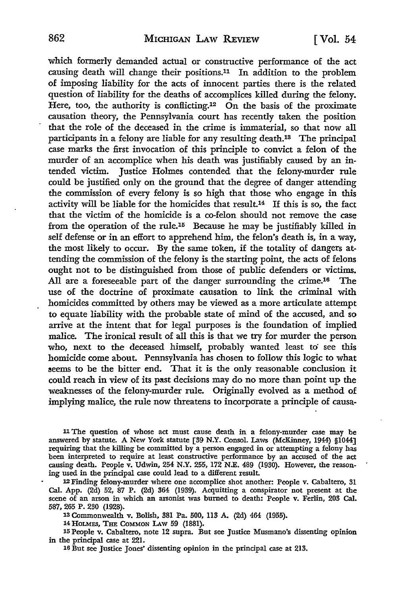which formerly demanded actual or constructive performance of the act causing death will change their positions.11 In addition to the problem of imposing liability for the acts of innocent parties there is the related question of liability for the deaths of accomplices killed during the felony. Here, too, the authority is conflicting.<sup>12</sup> On the basis of the proximate causation theory, the Pennsylvania court has recently taken the position that the role of the deceased in the crime is immaterial, so that now all participants in a felony are liable for any resulting death.13 The principal case marks the first invocation of this principle to convict a felon of the murder of an accomplice when his death was justifiably caused by an intended victim. Justice Holmes contended that the felony-murder rule could be justified only on the ground that the degree of danger attending the commission of every felony is so high that those who engage in this activity will be liable for the homicides that result.14 If this is so, the fact that the victim of the homicide is a co-felon should not remove the case from the operation of the rule.15 Because he may be justifiably killed in self defense or in an effort to apprehend him, the felon's death is, in a way, the most likely to occur. By the same token, if the totality of dangers attending the commission of the felony is the starting point, the acts of felons ought not to be distinguished from those of public defenders or victims. All are a foreseeable part of the danger surrounding the crime.<sup>16</sup> The use of the doctrine of proximate causation to link the criminal with homicides committed by others may be viewed as a more articulate attempt to equate liability with the probable state of mind of the accused, and so arrive at the intent that for legal purposes is the foundation of implied malice. The ironical result of all this is that we try for murder the person who, next to the deceased himself, probably wanted least to see this homicide come about. Pennsylvania has chosen to follow this logic to what seems to be the bitter end. That it is the only reasonable conclusion it could reach in view of its past decisions may do no more than point up the weaknesses of the felony-murder rule. Originally evolved as a method of implying malice, the rule now threatens to incorporate a principle of causa-

<sup>11</sup>The question of whose act must cause death in a felony-murder case may be answered by statute. A New York statute [39 N.Y. Consol. Laws (McKinney, 1944) §1044] requiring that the killing be committed by a person engaged in or attempting a felony has been interpreted to require at least constructive performance by an accused of the act causing death. People v. Udwin, 254 N.Y. 255, 172 N.E. 489 (1930). However, the reasoning used in the principal case could lead to a different result.

12 Finding felony-murder where one accomplice shot another: People v. Cabaltero, 31 Cal. App. (2d) 52, 87 P. (2d) 364 (1939). Acquitting a conspirator not present at the scene of an arson in which an arsonist was burned to death: People v. Ferlin, 203 Cal. 587,265 P. 230 (1928).

13 Commonwealth v. Bolish, 381 Pa. 500, 113 A. (2d) 464 (1955).

14 HOLMES, THE COMMON LAW 59 (1881).

15 People v. Cabaltero, note 12 supra. But see Justice Musmano's dissenting opinion in the principal case at 221.

16 But see Justice Jones' dissenting opinion in the principal case at 213.